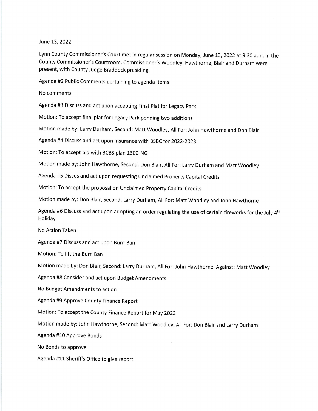## June 13,2022

Lynn County Commissioner's Court met in regular session on Monday, June 13, 2022 at 9:30 a.m. in the County Commissioner's Courtroom. Commissioner's Woodley, Hawthorne, Blair and Durham were present, with County Judge Braddock presiding.

Agenda #2 Public Comments pertaining to agenda items

No comments

Agenda #3 Discuss and act upon accepting Final plat for Legacy park

Motion: To accept final plat for Legacy park pending two additions

Motion made by: Larry Durham, Second: Matt Woodley, All For: John Hawthorne and Don Blair

Agenda #4 Discuss and act upon lnsurance with BSBC for 2022-2023

Motion: To accept bid with BCBS plan 1300-NG

Motion made by: John Hawthorne, Second: Don Blair, All For: Larry Durham and Matt Woodley

Agenda #5 Discus and act upon requesting Unclaimed property capital credits

Motion: To accept the proposal on Unclaimed property capital credits

Motion made by: Don Blair, Second: Larry Durham, All For: Matt Woodley and John Hawthorne

Agenda #6 Discuss and act upon adopting an order regulating the use of certain fireworks for the July 4<sup>th</sup> Holiday

No Action Taken

Agenda #7 Discuss and act upon Burn Ban

Motion: To lift the Burn Ban

Motion made by: Don Blair, Second: Larry Durham, All For:John Hawthorne. Against: Matt Woodley

Agenda #8 Consider and act upon Budget Amendments

No Budget Amendments to act on

Agenda #9 Approve County Finance Report

Motion: To accept the County Finance Report for May 2022

Motion made by: John Hawthorne, Second: Matt Woodley, All For: Don Blair and Larry Durham

Agenda #10 Approve Bonds

No Bonds to approve

Agenda #11 Sheriff's Office to give report